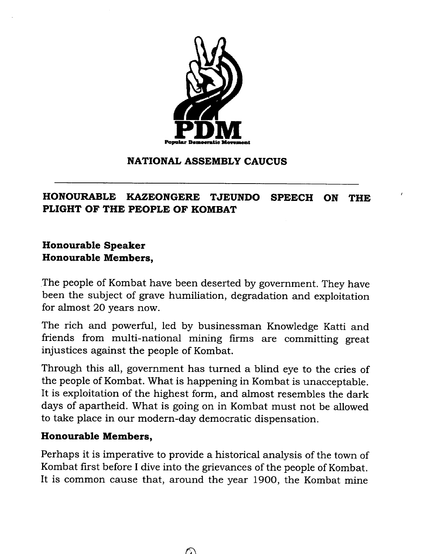

#### **NATIONAL ASSEMBLY CAUCUS**

## **HONOURABLE KAZEONGERE TJEUNDO SPEECH ON THE PLIGHT OF THE PEOPLE OF KOMBAT**

## **Honourable Speaker Honourable Members,**

.The people of Kombat have been deserted by government. They have been the subject of grave humiliation, degradation and exploitation for almost 20 years now.

The rich and powerful, led by businessman Knowledge Katti and friends from multi-national mining firms are committing great injustices against the people of Kombat.

Through this all, government has turned a blind eye to the cries of the people of Kombat. What is happening in Kombat is unacceptable. It is exploitation of the highest form, and almost resembles the dark days of apartheid. What is going on in Kombat must not be allowed to take place in our modern-day democratic dispensation.

#### **Honourable Members,**

Perhaps it is imperative to provide a historical analysis of the town of Kombat first before I dive into the grievances of the people of Kombat. It is common cause that, around the year 1900, the Kombat mine

 $\cap$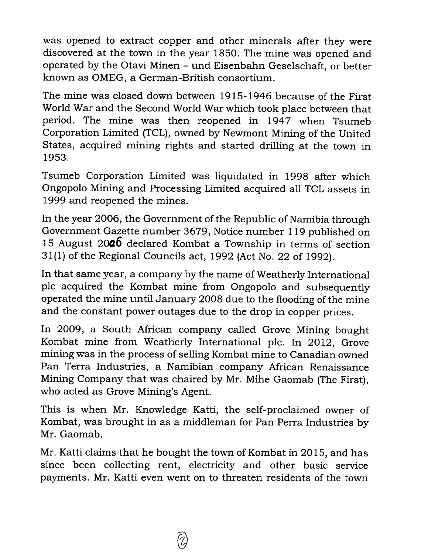was opened to extract copper and other minerals after they were discovered at the town in the year 1850. The mine was opened and operated by the Otavi Minen - und Eisenbahn Geselschaft, or better known as OMEG, a German-British consortium.

The mine was closed down between 1915-1946 because of the First World War and the Second World War which took place between that period. The mine was then reopened in 1947 when Tsumeb Corporation Limited (TCL), owned by Newmont Mining of the United States, acquired mining rights and started drilling at the town in 1953.

Tsumeb Corporation Limited was liquidated in 1998 after which Ongopolo Mining and Processing Limited acquired all TCL assets in 1999 and reopened the mines.

In the year 2006, the Government of the Republic of Namibia through Government Gazette number 3679, Notice number 119 published on 15 August **2006** declared Kombat a Township in terms of section 31(1) of the Regional Councils act, 1992 (Act No. 22 of 1992).

In that same year, a company by the name of Weatherly International plc acquired the Kombat mine from Ongopolo and subsequently operated the mine until January 2008 due to the flooding of the mine and the constant power outages due to the drop in copper prices.

In 2009, a South African company called Grove Mining bought Kombat mine from Weatherly International pIc. In 2012, Grove mining was in the process of selling Kombat mine to Canadian owned Pan Terra Industries, a Namibian company African Renaissance Mining Company that was chaired by Mr. Mihe Gaomab (The First), who acted as Grove Mining's Agent.

This is when Mr. Knowledge Katti, the self-proclaimed owner of Kombat, was brought in as a middleman for Pan Perra Industries by Mr. Gaomab.

Mr. Katti claims that he bought the town of Kombat in 2015, and has since been collecting rent, electricity and other basic service payments. Mr. Katti even went on to threaten residents of the town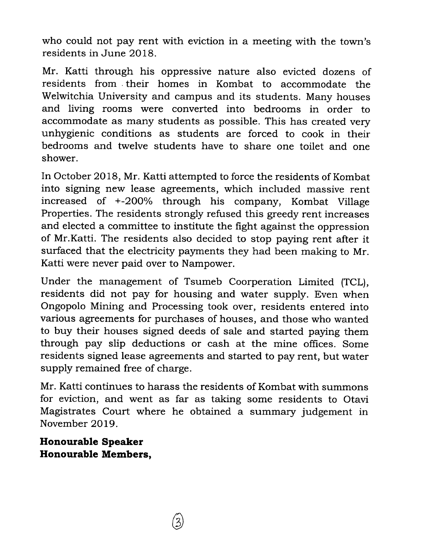who could not pay rent with eviction in a meeting with the town's residents in June 2018.

Mr. Katti through his oppressive nature also evicted dozens of residents from. their homes in Kombat to accommodate the Welwitchia University and campus and its students. Many houses and living rooms were converted into bedrooms in order to accommodate as many students as possible. This has created very unhygienic conditions as students are forced to cook in their bedrooms and twelve students have to share one toilet and one shower.

In October 2018, Mr. Katti attempted to force the residents of Kombat into signing new lease agreements, which included massive rent increased of +-200% through his company, Kombat Village Properties. The residents strongly refused this greedy rent increases and elected a committee to institute the fight against the oppression of Mr.Katti. The residents also decided to stop paying rent after it surfaced that the electricity payments they had been making to Mr. Katti were never paid over to Nampower.

Under the management of Tsumeb Coorperation Limited (TCL), residents did not pay for housing and water supply. Even when Ongopolo Mining and Processing took over, residents entered into various agreements for purchases of houses, and those who wanted to buy their houses signed deeds of sale and started paying them through pay slip deductions or cash at the mine offices. Some residents signed lease agreements and started to pay rent, but water supply remained free of charge.

Mr. Katti continues to harass the residents of Kombat with summons for eviction, and went as far as taking some residents to Otavi Magistrates Court where he obtained a summary judgement in November 2019.

**Honourable Speaker Honourable Members,**